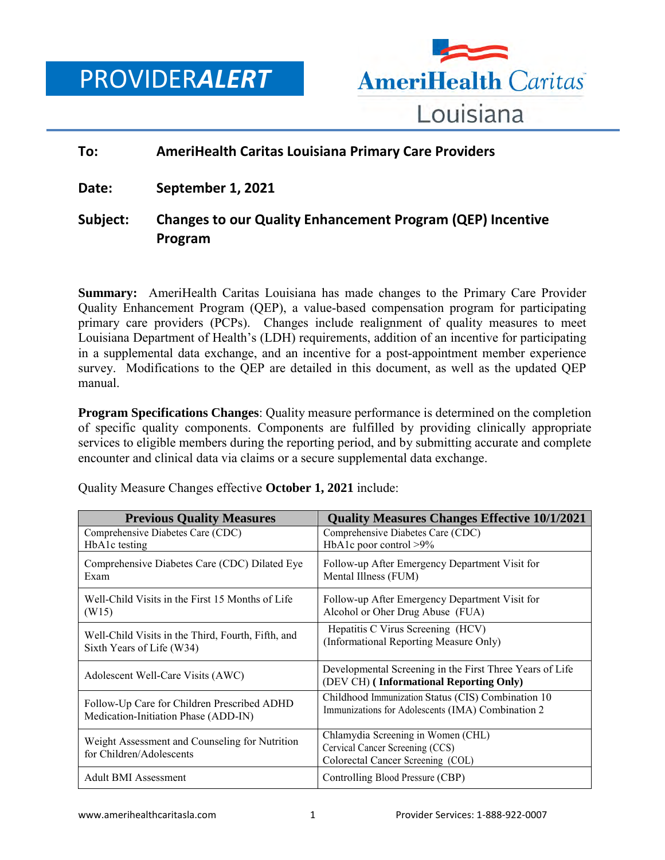# PROVIDER*ALERT*



### **To: AmeriHealth Caritas Louisiana Primary Care Providers**

**Date: September 1, 2021**

## **Subject: Changes to our Quality Enhancement Program (QEP) Incentive Program**

**Summary:** AmeriHealth Caritas Louisiana has made changes to the Primary Care Provider Quality Enhancement Program (QEP), a value-based compensation program for participating primary care providers (PCPs). Changes include realignment of quality measures to meet Louisiana Department of Health's (LDH) requirements, addition of an incentive for participating in a supplemental data exchange, and an incentive for a post-appointment member experience survey. Modifications to the QEP are detailed in this document, as well as the updated QEP manual.

**Program Specifications Changes**: Quality measure performance is determined on the completion of specific quality components. Components are fulfilled by providing clinically appropriate services to eligible members during the reporting period, and by submitting accurate and complete encounter and clinical data via claims or a secure supplemental data exchange.

| <b>Previous Quality Measures</b>                                           | <b>Quality Measures Changes Effective 10/1/2021</b>                                                        |
|----------------------------------------------------------------------------|------------------------------------------------------------------------------------------------------------|
| Comprehensive Diabetes Care (CDC)                                          | Comprehensive Diabetes Care (CDC)                                                                          |
| HbA1c testing                                                              | HbA1c poor control >9%                                                                                     |
| Comprehensive Diabetes Care (CDC) Dilated Eye                              | Follow-up After Emergency Department Visit for                                                             |
| Exam                                                                       | Mental Illness (FUM)                                                                                       |
| Well-Child Visits in the First 15 Months of Life                           | Follow-up After Emergency Department Visit for                                                             |
| (W15)                                                                      | Alcohol or Oher Drug Abuse (FUA)                                                                           |
| Well-Child Visits in the Third, Fourth, Fifth, and                         | Hepatitis C Virus Screening (HCV)                                                                          |
| Sixth Years of Life (W34)                                                  | (Informational Reporting Measure Only)                                                                     |
| Adolescent Well-Care Visits (AWC)                                          | Developmental Screening in the First Three Years of Life<br>(DEV CH) (Informational Reporting Only)        |
| Follow-Up Care for Children Prescribed ADHD                                | Childhood Immunization Status (CIS) Combination 10                                                         |
| Medication-Initiation Phase (ADD-IN)                                       | Immunizations for Adolescents (IMA) Combination 2                                                          |
| Weight Assessment and Counseling for Nutrition<br>for Children/Adolescents | Chlamydia Screening in Women (CHL)<br>Cervical Cancer Screening (CCS)<br>Colorectal Cancer Screening (COL) |
| <b>Adult BMI Assessment</b>                                                | Controlling Blood Pressure (CBP)                                                                           |

Quality Measure Changes effective **October 1, 2021** include: